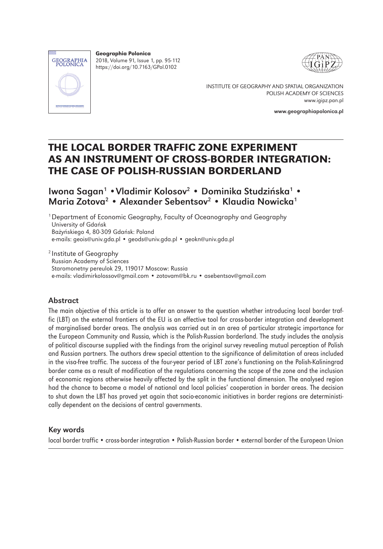

Geographia Polonica 2018, Volume 91, Issue 1, pp. 95-112 https://doi.org/10.7163/GPol.0102





INSTITUTE OF GEOGRAPHY AND SPATIAL ORGANIZATION POLISH ACADEMY OF SCIENCES www.igipz.pan.pl

www.geographiapolonica.pl

# THE LOCAL BORDER TRAFFIC ZONE EXPERIMENT AS AN INSTRUMENT OF CROSS-BORDER INTEGRATION: THE CASE OF POLISH-RUSSIAN BORDERLAND

Iwona Sagan<sup>1</sup> • Vladimir Kolosov<sup>2</sup> • Dominika Studzińska<sup>1</sup> • Maria Zotova<sup>2</sup> • Alexander Sebentsov<sup>2</sup> • Klaudia Nowicka<sup>1</sup>

1 Department of Economic Geography, Faculty of Oceanography and Geography University of Gdańsk Bażyńskiego 4, 80-309 Gdańsk: Poland e-mails: geois@univ.gda.pl • geods@univ.gda.pl • geokn@univ.gda.pl

2 Institute of Geography Russian Academy of Sciences Staromonetny pereulok 29, 119017 Moscow: Russia e-mails: vladimirkolossov@gmail.com • zotovam@bk.ru • asebentsov@gmail.com

#### Abstract

The main objective of this article is to offer an answer to the question whether introducing local border traffic (LBT) on the external frontiers of the EU is an effective tool for cross-border integration and development of marginalised border areas. The analysis was carried out in an area of particular strategic importance for the European Community and Russia, which is the Polish-Russian borderland. The study includes the analysis of political discourse supplied with the findings from the original survey revealing mutual perception of Polish and Russian partners. The authors drew special attention to the significance of delimitation of areas included in the visa-free traffic. The success of the four-year period of LBT zone's functioning on the Polish-Kaliningrad border came as a result of modification of the regulations concerning the scope of the zone and the inclusion of economic regions otherwise heavily affected by the split in the functional dimension. The analysed region had the chance to become a model of national and local policies' cooperation in border areas. The decision to shut down the LBT has proved yet again that socio-economic initiatives in border regions are deterministically dependent on the decisions of central governments.

#### Key words

local border traffic • cross-border integration • Polish-Russian border • external border of the European Union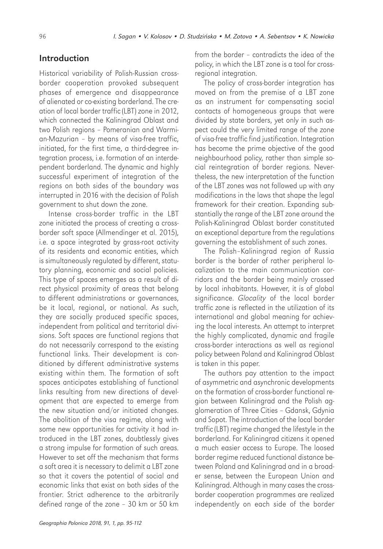# Introduction

Historical variability of Polish-Russian crossborder cooperation provoked subsequent phases of emergence and disappearance of alienated or co-existing borderland. The creation of local border traffic (LBT) zone in 2012, which connected the Kaliningrad Oblast and two Polish regions – Pomeranian and Warmian-Mazurian – by means of visa-free traffic, initiated, for the first time, a third-degree integration process, i.e. formation of an interdependent borderland. The dynamic and highly successful experiment of integration of the regions on both sides of the boundary was interrupted in 2016 with the decision of Polish government to shut down the zone.

Intense cross-border traffic in the LBT zone initiated the process of creating a crossborder soft space (Allmendinger et al. 2015), i.e. a space integrated by grass-root activity of its residents and economic entities, which is simultaneously regulated by different, statutory planning, economic and social policies. This type of spaces emerges as a result of direct physical proximity of areas that belong to different administrations or governances, be it local, regional, or national. As such, they are socially produced specific spaces, independent from political and territorial divisions. Soft spaces are functional regions that do not necessarily correspond to the existing functional links. Their development is conditioned by different administrative systems existing within them. The formation of soft spaces anticipates establishing of functional links resulting from new directions of development that are expected to emerge from the new situation and/or initiated changes. The abolition of the visa regime, along with some new opportunities for activity it had introduced in the LBT zones, doubtlessly gives a strong impulse for formation of such areas. However to set off the mechanism that forms a soft area it is necessary to delimit a LBT zone so that it covers the potential of social and economic links that exist on both sides of the frontier. Strict adherence to the arbitrarily defined range of the zone – 30 km or 50 km from the border – contradicts the idea of the policy, in which the LBT zone is a tool for crossregional integration.

The policy of cross-border integration has moved on from the premise of a LBT zone as an instrument for compensating social contacts of homogeneous groups that were divided by state borders, yet only in such aspect could the very limited range of the zone of visa-free traffic find justification. Integration has become the prime objective of the good neighbourhood policy, rather than simple social reintegration of border regions. Nevertheless, the new interpretation of the function of the LBT zones was not followed up with any modifications in the laws that shape the legal framework for their creation. Expanding substantially the range of the LBT zone around the Polish-Kaliningrad Oblast border constituted an exceptional departure from the regulations governing the establishment of such zones.

The Polish–Kaliningrad region of Russia border is the border of rather peripheral localization to the main communication corridors and the border being mainly crossed by local inhabitants. However, it is of global significance. *Glocality* of the local border traffic zone is reflected in the utilization of its international and global meaning for achieving the local interests. An attempt to interpret the highly complicated, dynamic and fragile cross-border interactions as well as regional policy between Poland and Kaliningrad Oblast is taken in this paper.

The authors pay attention to the impact of asymmetric and asynchronic developments on the formation of cross-border functional region between Kaliningrad and the Polish agglomeration of Three Cities – Gdansk, Gdynia and Sopot. The introduction of the local border traffic (LBT) regime changed the lifestyle in the borderland. For Kaliningrad citizens it opened a much easier access to Europe. The loosed border regime reduced functional distance between Poland and Kaliningrad and in a broader sense, between the European Union and Kaliningrad. Although in many cases the crossborder cooperation programmes are realized independently on each side of the border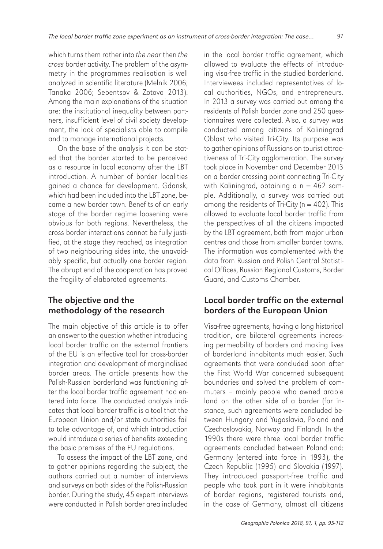which turns them rather into *the near* then *the cross* border activity. The problem of the asymmetry in the programmes realisation is well analyzed in scientific literature (Melnik 2006; Tanaka 2006; Sebentsov & Zotova 2013). Among the main explanations of the situation are: the institutional inequality between partners, insufficient level of civil society development, the lack of specialists able to compile and to manage international projects.

On the base of the analysis it can be stated that the border started to be perceived as a resource in local economy after the LBT introduction. A number of border localities gained a chance for development. Gdansk, which had been included into the LBT zone, became a new border town. Benefits of an early stage of the border regime loosening were obvious for both regions. Nevertheless, the cross border interactions cannot be fully justified, at the stage they reached, as integration of two neighbouring sides into, the unavoidably specific, but actually one border region. The abrupt end of the cooperation has proved the fragility of elaborated agreements.

## The objective and the methodology of the research

The main objective of this article is to offer an answer to the question whether introducing local border traffic on the external frontiers of the EU is an effective tool for cross-border integration and development of marginalised border areas. The article presents how the Polish-Russian borderland was functioning after the local border traffic agreement had entered into force. The conducted analysis indicates that local border traffic is a tool that the European Union and/or state authorities fail to take advantage of, and which introduction would introduce a series of benefits exceeding the basic premises of the EU regulations.

To assess the impact of the LBT zone, and to gather opinions regarding the subject, the authors carried out a number of interviews and surveys on both sides of the Polish-Russian border. During the study, 45 expert interviews were conducted in Polish border area included

in the local border traffic agreement, which allowed to evaluate the effects of introducing visa-free traffic in the studied borderland. Interviewees included representatives of local authorities, NGOs, and entrepreneurs. In 2013 a survey was carried out among the residents of Polish border zone and 250 questionnaires were collected. Also, a survey was conducted among citizens of Kaliningrad Oblast who visited Tri-City. Its purpose was to gather opinions of Russians on tourist attractiveness of Tri-City agglomeration. The survey took place in November and December 2013 on a border crossing point connecting Tri-City with Kaliningrad, obtaining a  $n = 462$  sample. Additionally, a survey was carried out among the residents of Tri-City ( $n = 402$ ). This allowed to evaluate local border traffic from the perspectives of all the citizens impacted by the LBT agreement, both from major urban centres and those from smaller border towns. The information was complemented with the data from Russian and Polish Central Statistical Offices, Russian Regional Customs, Border Guard, and Customs Chamber.

#### Local border traffic on the external borders of the European Union

Visa-free agreements, having a long historical tradition, are bilateral agreements increasing permeability of borders and making lives of borderland inhabitants much easier. Such agreements that were concluded soon after the First World War concerned subsequent boundaries and solved the problem of commuters – mainly people who owned arable land on the other side of a border (for instance, such agreements were concluded between Hungary and Yugoslavia, Poland and Czechoslovakia, Norway and Finland). In the 1990s there were three local border traffic agreements concluded between Poland and: Germany (entered into force in 1993), the Czech Republic (1995) and Slovakia (1997). They introduced passport-free traffic and people who took part in it were inhabitants of border regions, registered tourists and, in the case of Germany, almost all citizens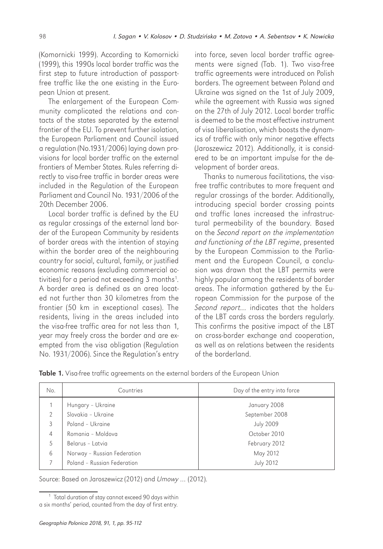(Komornicki 1999). According to Komornicki (1999), this 1990s local border traffic was the first step to future introduction of passportfree traffic like the one existing in the European Union at present.

The enlargement of the European Community complicated the relations and contacts of the states separated by the external frontier of the EU. To prevent further isolation, the European Parliament and Council issued a regulation (No.1931/2006) laying down provisions for local border traffic on the external frontiers of Member States. Rules referring directly to visa-free traffic in border areas were included in the Regulation of the European Parliament and Council No. 1931/2006 of the 20th December 2006.

Local border traffic is defined by the EU as regular crossings of the external land border of the European Community by residents of border areas with the intention of staying within the border area of the neighbouring country for social, cultural, family, or justified economic reasons (excluding commercial activities) for a period not exceeding 3 months<sup>1</sup>. A border area is defined as an area located not further than 30 kilometres from the frontier (50 km in exceptional cases). The residents, living in the areas included into the visa-free traffic area for not less than 1, year may freely cross the border and are exempted from the visa obligation (Regulation No. 1931/2006). Since the Regulation's entry

into force, seven local border traffic agreements were signed (Tab. 1). Two visa-free traffic agreements were introduced on Polish borders. The agreement between Poland and Ukraine was signed on the 1st of July 2009, while the agreement with Russia was signed on the 27th of July 2012. Local border traffic is deemed to be the most effective instrument of visa liberalisation, which boosts the dynamics of traffic with only minor negative effects (Jaroszewicz 2012). Additionally, it is considered to be an important impulse for the development of border areas.

Thanks to numerous facilitations, the visafree traffic contributes to more frequent and regular crossings of the border. Additionally, introducing special border crossing points and traffic lanes increased the infrastructural permeability of the boundary. Based on the *Second report on the implementation and functioning of the LBT regime*, presented by the European Commission to the Parliament and the European Council, a conclusion was drawn that the LBT permits were highly popular among the residents of border areas. The information gathered by the European Commission for the purpose of the *Second report…* indicates that the holders of the LBT cards cross the borders regularly. This confirms the positive impact of the LBT on cross-border exchange and cooperation, as well as on relations between the residents of the borderland.

| <b>Table 1.</b> Visa-free traffic agreements on the external borders of the European Union |  |
|--------------------------------------------------------------------------------------------|--|
|--------------------------------------------------------------------------------------------|--|

| No.            | Countries                   | Day of the entry into force |  |
|----------------|-----------------------------|-----------------------------|--|
|                | Hungary - Ukraine           | January 2008                |  |
| $\mathfrak{D}$ | Slovakia - Ukraine          | September 2008              |  |
| $\mathcal{E}$  | Poland - Ukraine            | <b>July 2009</b>            |  |
| 4              | Romania - Moldova           | October 2010                |  |
| 5              | Belarus - Latvia            | February 2012               |  |
| 6              | Norway - Russian Federation | May 2012                    |  |
|                | Poland - Russian Federation | <b>July 2012</b>            |  |

Source: Based on Jaroszewicz (2012) and *Umowy …* (2012).

<sup>&</sup>lt;sup>1</sup> Total duration of stay cannot exceed 90 days within a six months' period, counted from the day of first entry.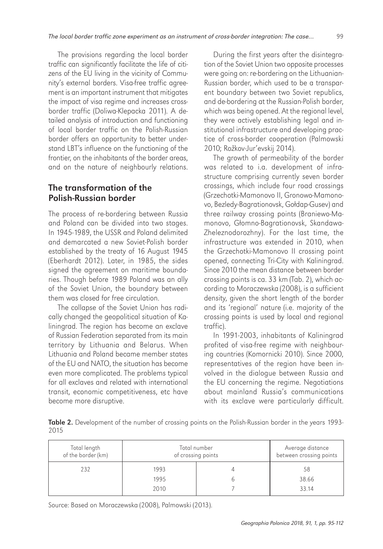The provisions regarding the local border traffic can significantly facilitate the life of citizens of the EU living in the vicinity of Community's external borders. Visa-free traffic agreement is an important instrument that mitigates the impact of visa regime and increases crossborder traffic (Doliwa-Klepacka 2011). A detailed analysis of introduction and functioning of local border traffic on the Polish-Russian border offers an opportunity to better understand LBT's influence on the functioning of the frontier, on the inhabitants of the border areas, and on the nature of neighbourly relations.

## The transformation of the Polish-Russian border

The process of re-bordering between Russia and Poland can be divided into two stages. In 1945-1989, the USSR and Poland delimited and demarcated a new Soviet-Polish border established by the treaty of 16 August 1945 (Eberhardt 2012). Later, in 1985, the sides signed the agreement on maritime boundaries. Though before 1989 Poland was an ally of the Soviet Union, the boundary between them was closed for free circulation.

The collapse of the Soviet Union has radically changed the geopolitical situation of Kaliningrad. The region has become an exclave of Russian Federation separated from its main territory by Lithuania and Belarus. When Lithuania and Poland became member states of the EU and NATO, the situation has become even more complicated. The problems typical for all exclaves and related with international transit, economic competitiveness, etc have become more disruptive.

During the first years after the disintegration of the Soviet Union two opposite processes were going on: re-bordering on the Lithuanian-Russian border, which used to be a transparent boundary between two Soviet republics, and de-bordering at the Russian-Polish border, which was being opened. At the regional level, they were actively establishing legal and institutional infrastructure and developing practice of cross-border cooperation (Palmowski 2010; Rožkov-Jur'evskij 2014).

The growth of permeability of the border was related to i.a. development of infrastructure comprising currently seven border crossings, which include four road crossings ( Grzechotki-Mamonovo II, Gronowo-Mamonovo, Bezledy-Bagrationovsk, Gołdap-Gusev) and three railway crossing points (Braniewo-Mamonovo, Głomno-Bagrationovsk, Skandawa-Zheleznodorozhny). For the last time, the infrastructure was extended in 2010, when the Grzechotki-Mamonovo II crossing point opened, connecting Tri-City with Kaliningrad. Since 2010 the mean distance between border crossing points is ca. 33 km (Tab. 2), which according to Moraczewska (2008), is a sufficient density, given the short length of the border and its 'regional' nature (i.e. majority of the crossing points is used by local and regional traffic).

In 1991-2003, inhabitants of Kaliningrad profited of visa-free regime with neighbouring countries (Komornicki 2010). Since 2000, representatives of the region have been involved in the dialogue between Russia and the EU concerning the regime. Negotiations about mainland Russia's communications with its exclave were particularly difficult.

Table 2. Development of the number of crossing points on the Polish-Russian border in the years 1993-2015

| Total length<br>of the border (km) | Total number<br>of crossing points |  | Average distance<br>between crossing points |
|------------------------------------|------------------------------------|--|---------------------------------------------|
| 232                                | 1993                               |  | 58                                          |
|                                    | 1995                               |  | 38.66                                       |
|                                    | 2010                               |  | 33.14                                       |

Source: Based on Moraczewska (2008), Palmowski (2013).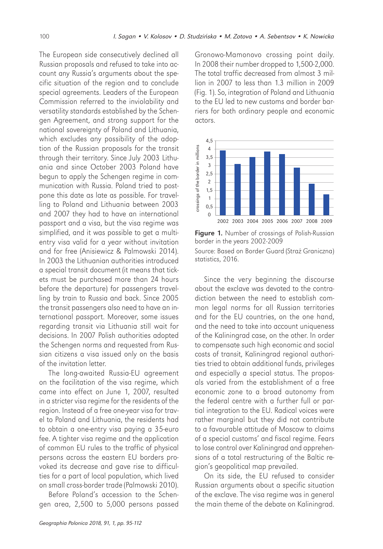The European side consecutively declined all Russian proposals and refused to take into account any Russia's arguments about the specific situation of the region and to conclude special agreements. Leaders of the European Commission referred to the inviolability and versatility standards established by the Schengen Agreement, and strong support for the national sovereignty of Poland and Lithuania, which excludes any possibility of the adoption of the Russian proposals for the transit through their territory. Since July 2003 Lithuania and since October 2003 Poland have begun to apply the Schengen regime in communication with Russia. Poland tried to postpone this date as late as possible. For travelling to Poland and Lithuania between 2003 and 2007 they had to have an international passport and a visa, but the visa regime was simplified, and it was possible to get a multientry visa valid for a year without invitation and for free (Anisiewicz & Palmowski 2014). In 2003 the Lithuanian authorities introduced a special transit document (it means that tickets must be purchased more than 24 hours before the departure) for passengers travelling by train to Russia and back. Since 2005 the transit passengers also need to have an international passport. Moreover, some issues regarding transit via Lithuania still wait for decisions. In 2007 Polish authorities adopted the Schengen norms and requested from Russian citizens a visa issued only on the basis of the invitation letter.

The long-awaited Russia-EU agreement on the facilitation of the visa regime, which came into effect on June 1, 2007, resulted in a stricter visa regime for the residents of the region. Instead of a free one-year visa for travel to Poland and Lithuania, the residents had to obtain a one-entry visa paying a 35-euro fee. A tighter visa regime and the application of common EU rules to the traffic of physical persons across the eastern EU borders provoked its decrease and gave rise to difficulties for a part of local population, which lived on small cross-border trade (Palmowski 2010).

Before Poland's accession to the Schengen area, 2,500 to 5,000 persons passed

Gronowo-Mamonovo crossing point daily. In 2008 their number dropped to 1,500-2,000. The total traffic decreased from almost 3 million in 2007 to less than 1.3 million in 2009 (Fig. 1). So, integration of Poland and Lithuania to the EU led to new customs and border barriers for both ordinary people and economic actors.



Figure 1. Number of crossings of Polish-Russian border in the years 2002-2009 Source: Based on Border Guard (Straż Graniczna) statistics, 2016.

Since the very beginning the discourse about the exclave was devoted to the contradiction between the need to establish common legal norms for all Russian territories and for the EU countries, on the one hand, and the need to take into account uniqueness of the Kaliningrad case, on the other. In order to compensate such high economic and social costs of transit, Kaliningrad regional authorities tried to obtain additional funds, privileges and especially a special status. The proposals varied from the establishment of a free economic zone to a broad autonomy from the federal centre with a further full or partial integration to the EU. Radical voices were rather marginal but they did not contribute to a favourable attitude of Moscow to claims of a special customs' and fiscal regime. Fears to lose control over Kaliningrad and apprehensions of a total restructuring of the Baltic region's geopolitical map prevailed.

On its side, the EU refused to consider Russian arguments about a specific situation of the exclave. The visa regime was in general the main theme of the debate on Kaliningrad.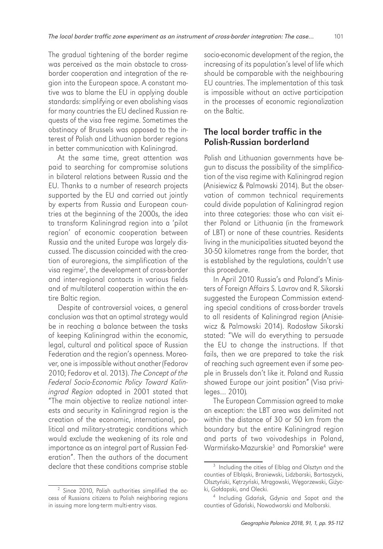The gradual tightening of the border regime was perceived as the main obstacle to crossborder cooperation and integration of the region into the European space. A constant motive was to blame the EU in applying double standards: simplifying or even abolishing visas for many countries the EU declined Russian requests of the visa free regime. Sometimes the obstinacy of Brussels was opposed to the interest of Polish and Lithuanian border regions in better communication with Kaliningrad.

At the same time, great attention was paid to searching for compromise solutions in bilateral relations between Russia and the EU. Thanks to a number of research projects supported by the EU and carried out jointly by experts from Russia and European countries at the beginning of the 2000s, the idea to transform Kaliningrad region into a 'pilot region' of economic cooperation between Russia and the united Europe was largely discussed. The discussion coincided with the creation of euroregions, the simplification of the visa regime2 , the development of cross-border and inter-regional contacts in various fields and of multilateral cooperation within the entire Baltic region.

Despite of controversial voices, a general conclusion was that an optimal strategy would be in reaching a balance between the tasks of keeping Kaliningrad within the economic, legal, cultural and political space of Russian Federation and the region's openness. Moreover, one is impossible without another (Fedorov 2010; Fedorov et al. 2013). *The Concept of the Federal Socio-Economic Policy Toward Kaliningrad Region* adopted in 2001 stated that "The main objective to realize national interests and security in Kaliningrad region is the creation of the economic, international, political and military-strategic conditions which would exclude the weakening of its role and importance as an integral part of Russian Federation". Then the authors of the document declare that these conditions comprise stable socio-economic development of the region, the increasing of its population's level of life which should be comparable with the neighbouring EU countries. The implementation of this task is impossible without an active participation in the processes of economic regionalization on the Baltic.

# The local border traffic in the Polish-Russian borderland

Polish and Lithuanian governments have begun to discuss the possibility of the simplification of the visa regime with Kaliningrad region (Anisiewicz & Palmowski 2014). But the observation of common technical requirements could divide population of Kaliningrad region into three categories: those who can visit either Poland or Lithuania (in the framework of LBT) or none of these countries. Residents living in the municipalities situated beyond the 30-50 kilometres range from the border, that is established by the regulations, couldn't use this procedure.

In April 2010 Russia's and Poland's Ministers of Foreign Affairs S. Lavrov and R. Sikorski suggested the European Commission extending special conditions of cross-border travels to all residents of Kaliningrad region (Anisiewicz & Palmowski 2014). Radosław Sikorski stated: "We will do everything to persuade the EU to change the instructions. If that fails, then we are prepared to take the risk of reaching such agreement even if some people in Brussels don't like it. Poland and Russia showed Europe our joint position" (Visa privileges… 2010)*.*

The European Commission agreed to make an exception: the LBT area was delimited not within the distance of 30 or 50 km from the boundary but the entire Kaliningrad region and parts of two voivodeships in Poland, Warmińsko-Mazurskie<sup>3</sup> and Pomorskie<sup>4</sup> were

<sup>2</sup> Since 2010, Polish authorities simplified the access of Russians citizens to Polish neighboring regions in issuing more long-term multi-entry visas.

<sup>3</sup> Including the cities of Elbląg and Olsztyn and the counties of Elbląski, Braniewski, Lidzbarski, Bartoszycki, Olsztyński, Kętrzyński, Mrągowski, Węgorzewski, Giżycki, Gołdapski, and Olecki.

<sup>4</sup> Including Gdańsk, Gdynia and Sopot and the counties of Gdański, Nowodworski and Malborski.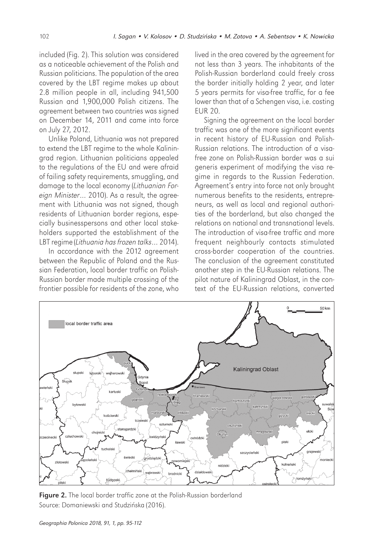included (Fig. 2). This solution was considered as a noticeable achievement of the Polish and Russian politicians. The population of the area covered by the LBT regime makes up about 2.8 million people in all, including 941,500 Russian and 1,900,000 Polish citizens. The agreement between two countries was signed on December 14, 2011 and came into force on July 27, 2012.

Unlike Poland, Lithuania was not prepared to extend the LBT regime to the whole Kaliningrad region. Lithuanian politicians appealed to the regulations of the EU and were afraid of failing safety requirements, smuggling, and damage to the local economy (*Lithuanian Foreign Minister*… 2010). As a result, the agreement with Lithuania was not signed, though residents of Lithuanian border regions, especially businesspersons and other local stakeholders supported the establishment of the LBT regime (*Lithuania has frozen talks*… 2014).

In accordance with the 2012 agreement between the Republic of Poland and the Russian Federation, local border traffic on Polish-Russian border made multiple crossing of the frontier possible for residents of the zone, who

lived in the area covered by the agreement for not less than 3 years. The inhabitants of the Polish-Russian borderland could freely cross the border initially holding 2 year, and later 5 years permits for visa-free traffic, for a fee lower than that of a Schengen visa, i.e. costing EUR 20.

Signing the agreement on the local border traffic was one of the more significant events in recent history of EU-Russian and Polish-Russian relations. The introduction of a visafree zone on Polish-Russian border was a sui generis experiment of modifying the visa regime in regards to the Russian Federation. Agreement's entry into force not only brought numerous benefits to the residents, entrepreneurs, as well as local and regional authorities of the borderland, but also changed the relations on national and transnational levels. The introduction of visa-free traffic and more frequent neighbourly contacts stimulated cross-border cooperation of the countries. The conclusion of the agreement constituted another step in the EU-Russian relations. The pilot nature of Kaliningrad Oblast, in the context of the EU-Russian relations, converted



Figure 2. The local border traffic zone at the Polish-Russian borderland Source: Domaniewski and Studzińska (2016).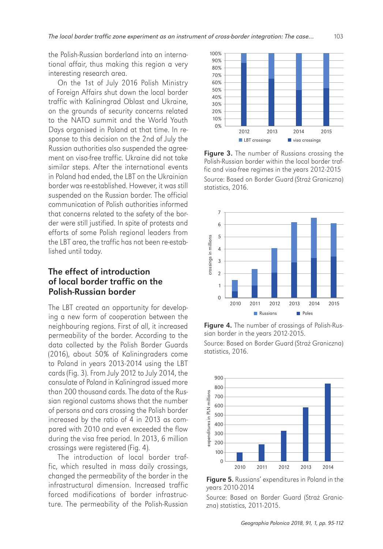the Polish-Russian borderland into an international affair, thus making this region a very interesting research area.

On the 1st of July 2016 Polish Ministry of Foreign Affairs shut down the local border traffic with Kaliningrad Oblast and Ukraine, on the grounds of security concerns related to the NATO summit and the World Youth Days organised in Poland at that time. In response to this decision on the 2nd of July the Russian authorities also suspended the agreement on visa-free traffic. Ukraine did not take similar steps. After the international events in Poland had ended, the LBT on the Ukrainian border was re-established. However, it was still suspended on the Russian border. The official communication of Polish authorities informed that concerns related to the safety of the border were still justified. In spite of protests and efforts of some Polish regional leaders from the LBT area, the traffic has not been re-established until today.

# The effect of introduction of local border traffic on the Polish-Russian border

The LBT created an opportunity for developing a new form of cooperation between the neighbouring regions. First of all, it increased permeability of the border. According to the data collected by the Polish Border Guards (2016), about 50% of Kaliningraders come to Poland in years 2013-2014 using the LBT cards (Fig. 3). From July 2012 to July 2014, the consulate of Poland in Kaliningrad issued more than 200 thousand cards. The data of the Russian regional customs shows that the number of persons and cars crossing the Polish border increased by the ratio of 4 in 2013 as compared with 2010 and even exceeded the flow during the visa free period. In 2013, 6 million crossings were registered (Fig. 4).

The introduction of local border traffic, which resulted in mass daily crossings, changed the permeability of the border in the infrastructural dimension. Increased traffic forced modifications of border infrastructure. The permeability of the Polish-Russian



Figure 3. The number of Russians crossing the Polish-Russian border within the local border traffic and visa-free regimes in the years 2012-2015 Source: Based on Border Guard (Straż Graniczna) statistics, 2016.



Figure 4. The number of crossings of Polish-Russian border in the years 2012-2015.

Source: Based on Border Guard (Straż Graniczna) statistics, 2016.



Figure 5. Russians' expenditures in Poland in the years 2010-2014

Source: Based on Border Guard (Straż Graniczna) statistics, 2011-2015.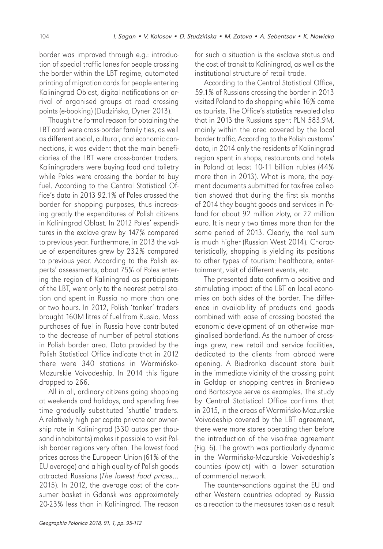border was improved through e.g.: introduction of special traffic lanes for people crossing the border within the LBT regime, automated printing of migration cards for people entering Kaliningrad Oblast, digital notifications on arrival of organised groups at road crossing points (e-booking) (Dudzińska, Dyner 2013).

Though the formal reason for obtaining the LBT card were cross-border family ties, as well as different social, cultural, and economic connections, it was evident that the main beneficiaries of the LBT were cross-border traders. Kaliningraders were buying food and toiletry while Poles were crossing the border to buy fuel. According to the Central Statistical Office's data in 2013 92.1% of Poles crossed the border for shopping purposes, thus increasing greatly the expenditures of Polish citizens in Kaliningrad Oblast. In 2012 Poles' expenditures in the exclave grew by 147% compared to previous year. Furthermore, in 2013 the value of expenditures grew by 232% compared to previous year. According to the Polish experts' assessments, about 75% of Poles entering the region of Kaliningrad as participants of the LBT, went only to the nearest petrol station and spent in Russia no more than one or two hours. In 2012, Polish 'tanker' traders brought 160M litres of fuel from Russia. Mass purchases of fuel in Russia have contributed to the decrease of number of petrol stations in Polish border area. Data provided by the Polish Statistical Office indicate that in 2012 there were 340 stations in Warmińsko-Mazurskie Voivodeship. In 2014 this figure dropped to 266.

All in all, ordinary citizens going shopping at weekends and holidays, and spending free time gradually substituted 'shuttle' traders. A relatively high per capita private car ownership rate in Kaliningrad (330 autos per thousand inhabitants) makes it possible to visit Polish border regions very often. The lowest food prices across the European Union (61% of the EU average) and a high quality of Polish goods attracted Russians (*The lowest food prices*… 2015). In 2012, the average cost of the consumer basket in Gdansk was approximately 20-23% less than in Kaliningrad. The reason

for such a situation is the exclave status and the cost of transit to Kaliningrad, as well as the institutional structure of retail trade.

According to the Central Statistical Office, 59.1% of Russians crossing the border in 2013 visited Poland to do shopping while 16% came as tourists. The Office's statistics revealed also that in 2013 the Russians spent PLN 583.9M, mainly within the area covered by the local border traffic. According to the Polish customs' data, in 2014 only the residents of Kaliningrad region spent in shops, restaurants and hotels in Poland at least 10-11 billion rubles (44% more than in 2013). What is more, the payment documents submitted for tax-free collection showed that during the first six months of 2014 they bought goods and services in Poland for about 92 million zloty, or 22 million euro. It is nearly two times more than for the same period of 2013. Clearly, the real sum is much higher (Russian West 2014). Characteristically, shopping is yielding its positions to other types of tourism: healthcare, entertainment, visit of different events, etc.

The presented data confirm a positive and stimulating impact of the LBT on local economies on both sides of the border. The difference in availability of products and goods combined with ease of crossing boosted the economic development of an otherwise marginalised borderland. As the number of crossings grew, new retail and service facilities, dedicated to the clients from abroad were opening. A Biedronka discount store built in the immediate vicinity of the crossing point in Gołdap or shopping centres in Braniewo and Bartoszyce serve as examples. The study by Central Statistical Office confirms that in 2015, in the areas of Warmińsko-Mazurskie Voivodeship covered by the LBT agreement, there were more stores operating then before the introduction of the visa-free agreement (Fig. 6). The growth was particularly dynamic in the Warmińsko-Mazurskie Voivodeship's counties (powiat) with a lower saturation of commercial network.

The counter-sanctions against the EU and other Western countries adopted by Russia as a reaction to the measures taken as a result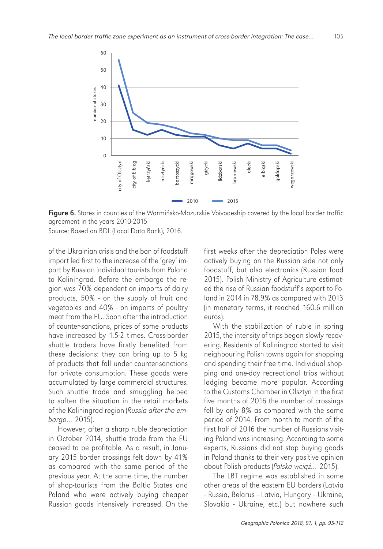

Figure 6. Stores in counties of the Warmińsko-Mazurskie Voivodeship covered by the local border traffic agreement in the years 2010-2015

Source: Based on BDL (Local Data Bank), 2016.

of the Ukrainian crisis and the ban of foodstuff import led first to the increase of the 'grey' import by Russian individual tourists from Poland to Kaliningrad. Before the embargo the region was 70% dependent on imports of dairy products, 50% - on the supply of fruit and vegetables and 40% - on imports of poultry meat from the EU. Soon after the introduction of counter-sanctions, prices of some products have increased by 1.5-2 times. Cross-border shuttle traders have firstly benefited from these decisions: they can bring up to 5 kg of products that fall under counter-sanctions for private consumption. These goods were accumulated by large commercial structures. Such shuttle trade and smuggling helped to soften the situation in the retail markets of the Kaliningrad region (*Russia after the embargo*… 2015).

However, after a sharp ruble depreciation in October 2014, shuttle trade from the EU ceased to be profitable. As a result, in January 2015 border crossings felt down by 41% as compared with the same period of the previous year. At the same time, the number of shop-tourists from the Baltic States and Poland who were actively buying cheaper Russian goods intensively increased. On the

first weeks after the depreciation Poles were actively buying on the Russian side not only foodstuff, but also electronics (Russian food 2015). Polish Ministry of Agriculture estimated the rise of Russian foodstuff's export to Poland in 2014 in 78.9% as compared with 2013 (in monetary terms, it reached 160.6 million euros).

With the stabilization of ruble in spring 2015, the intensity of trips began slowly recovering. Residents of Kaliningrad started to visit neighbouring Polish towns again for shopping and spending their free time. Individual shopping and one-day recreational trips without lodging became more popular. According to the Customs Chamber in Olsztyn in the first five months of 2016 the number of crossings fell by only 8% as compared with the same period of 2014. From month to month of the first half of 2016 the number of Russians visiting Poland was increasing. According to some experts, Russians did not stop buying goods in Poland thanks to their very positive opinion about Polish products (*Polska wci*ąż*…* 2015).

The LBT regime was established in some other areas of the eastern EU borders (Latvia - Russia, Belarus - Latvia, Hungary - Ukraine, Slovakia - Ukraine, etc.) but nowhere such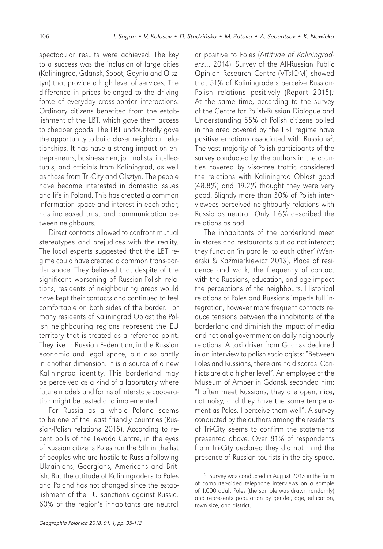spectacular results were achieved. The key to a success was the inclusion of large cities (Kaliningrad, Gdansk, Sopot, Gdynia and Olsztyn) that provide a high level of services. The difference in prices belonged to the driving force of everyday cross-border interactions. Ordinary citizens benefited from the establishment of the LBT, which gave them access to cheaper goods. The LBT undoubtedly gave the opportunity to build closer neighbour relationships. It has have a strong impact on entrepreneurs, businessmen, journalists, intellectuals, and officials from Kaliningrad, as well as those from Tri-City and Olsztyn. The people have become interested in domestic issues and life in Poland. This has created a common information space and interest in each other, has increased trust and communication between neighbours.

Direct contacts allowed to confront mutual stereotypes and prejudices with the reality. The local experts suggested that the LBT regime could have created a common trans-border space. They believed that despite of the significant worsening of Russian-Polish relations, residents of neighbouring areas would have kept their contacts and continued to feel comfortable on both sides of the border. For many residents of Kaliningrad Oblast the Polish neighbouring regions represent the EU territory that is treated as a reference point. They live in Russian Federation, in the Russian economic and legal space, but also partly in another dimension. It is a source of a new Kaliningrad identity. This borderland may be perceived as a kind of a laboratory where future models and forms of interstate cooperation might be tested and implemented.

For Russia as a whole Poland seems to be one of the least friendly countries (Russian-Polish relations 2015). According to recent polls of the Levada Centre, in the eyes of Russian citizens Poles run the 5th in the list of peoples who are hostile to Russia following Ukrainians, Georgians, Americans and British. But the attitude of Kaliningraders to Poles and Poland has not changed since the establishment of the EU sanctions against Russia. 60% of the region's inhabitants are neutral

or positive to Poles (A*ttitude of Kaliningraders*… 2014). Survey of the All-Russian Public Opinion Research Centre (VTsIOM) showed that 51% of Kaliningraders perceive Russian-Polish relations positively (Report 2015). At the same time, according to the survey of the Centre for Polish-Russian Dialogue and Understanding 55% of Polish citizens polled in the area covered by the LBT regime have positive emotions associated with Russians<sup>5</sup>. The vast majority of Polish participants of the survey conducted by the authors in the counties covered by visa-free traffic considered the relations with Kaliningrad Oblast good (48.8%) and 19.2% thought they were very good. Slightly more than 30% of Polish interviewees perceived neighbourly relations with Russia as neutral. Only 1.6% described the relations as bad.

The inhabitants of the borderland meet in stores and restaurants but do not interact; they function 'in parallel to each other' (Wenerski & Kaźmierkiewicz 2013). Place of residence and work, the frequency of contact with the Russians, education, and age impact the perceptions of the neighbours. Historical relations of Poles and Russians impede full integration, however more frequent contacts reduce tensions between the inhabitants of the borderland and diminish the impact of media and national government on daily neighbourly relations. A taxi driver from Gdansk declared in an interview to polish sociologists: "Between Poles and Russians, there are no discords. Conflicts are at a higher level". An employee of the Museum of Amber in Gdansk seconded him: "I often meet Russians, they are open, nice, not noisy, and they have the same temperament as Poles. I perceive them well". A survey conducted by the authors among the residents of Tri-City seems to confirm the statements presented above. Over 81% of respondents from Tri-City declared they did not mind the presence of Russian tourists in the city space,

<sup>5</sup> Survey was conducted in August 2013 in the form of computer-aided telephone interviews on a sample of 1,000 adult Poles (the sample was drawn randomly) and represents population by gender, age, education, town size, and district.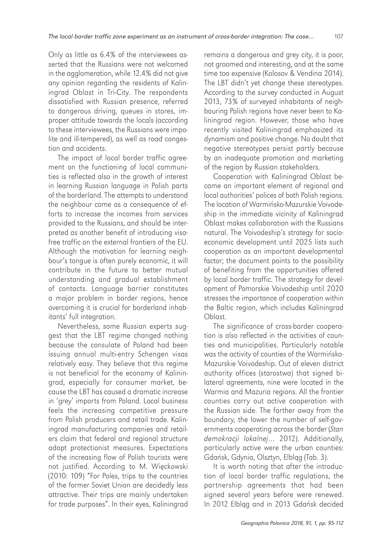Only as little as 6.4% of the interviewees asserted that the Russians were not welcomed in the agglomeration, while 12.4% did not give any opinion regarding the residents of Kaliningrad Oblast in Tri-City. The respondents dissatisfied with Russian presence, referred to dangerous driving, queues in stores, improper attitude towards the locals (according to these interviewees, the Russians were impolite and ill-tempered), as well as road congestion and accidents.

The impact of local border traffic agreement on the functioning of local communities is reflected also in the growth of interest in learning Russian language in Polish parts of the borderland. The attempts to understand the neighbour come as a consequence of efforts to increase the incomes from services provided to the Russians, and should be interpreted as another benefit of introducing visafree traffic on the external frontiers of the EU. Although the motivation for learning neighbour's tongue is often purely economic, it will contribute in the future to better mutual understanding and gradual establishment of contacts. Language barrier constitutes a major problem in border regions, hence overcoming it is crucial for borderland inhabitants' full integration.

Nevertheless, some Russian experts suggest that the LBT regime changed nothing because the consulate of Poland had been issuing annual multi-entry Schengen visas relatively easy. They believe that this regime is not beneficial for the economy of Kaliningrad, especially for consumer market, because the LBT has caused a dramatic increase in 'grey' imports from Poland. Local business feels the increasing competitive pressure from Polish producers and retail trade. Kaliningrad manufacturing companies and retailers claim that federal and regional structure adopt protectionist measures. Expectations of the increasing flow of Polish tourists were not justified. According to M. Więckowski (2010: 109) "For Poles, trips to the countries of the former Soviet Union are decidedly less attractive. Their trips are mainly undertaken for trade purposes". In their eyes, Kaliningrad

remains a dangerous and grey city, it is poor, not groomed and interesting, and at the same time too expensive (Kolosov & Vendina 2014). The LBT didn't yet change these stereotypes. According to the survey conducted in August 2013, 73% of surveyed inhabitants of neighbouring Polish regions have never been to Kaliningrad region. However, those who have recently visited Kaliningrad emphasized its dynamism and positive change. No doubt that negative stereotypes persist partly because by an inadequate promotion and marketing of the region by Russian stakeholders.

Cooperation with Kaliningrad Oblast became an important element of regional and local authorities' polices of both Polish regions. The location of Warmińsko-Mazurskie Voivodeship in the immediate vicinity of Kaliningrad Oblast makes collaboration with the Russians natural. The Voivodeship's strategy for socioeconomic development until 2025 lists such cooperation as an important developmental factor; the document points to the possibility of benefiting from the opportunities offered by local border traffic. The strategy for development of Pomorskie Voivodeship until 2020 stresses the importance of cooperation within the Baltic region, which includes Kaliningrad Oblast.

The significance of cross-border cooperation is also reflected in the activities of counties and municipalities. Particularly notable was the activity of counties of the Warmińsko-Mazurskie Voivodeship. Out of eleven district authority offices (starostwa) that signed bilateral agreements, nine were located in the Warmia and Mazuria regions. All the frontier counties carry out active cooperation with the Russian side. The farther away from the boundary, the lower the number of self-governments cooperating across the border (*Stan demokracji lokalnej*… 2012). Additionally, particularly active were the urban counties: Gdańsk, Gdynia, Olsztyn, Elbląg (Tab. 3).

It is worth noting that after the introduction of local border traffic regulations, the partnership agreements that had been signed several years before were renewed. In 2012 Elbląg and in 2013 Gdańsk decided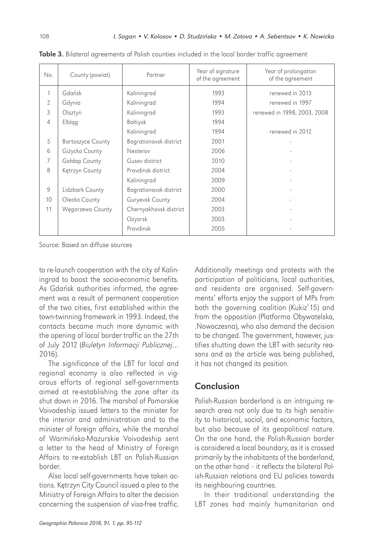| No.            | County (powiat)          | Partner                | Year of signature<br>of the agreement | Year of prolongation<br>of the agreement |
|----------------|--------------------------|------------------------|---------------------------------------|------------------------------------------|
| 1              | Gdańsk                   | Kaliningrad            | 1993                                  | renewed in 2013                          |
| $\mathfrak{D}$ | Gdynia                   | Kaliningrad            | 1994                                  | renewed in 1997                          |
| 3              | Olsztyn                  | Kaliningrad            | 1993                                  | renewed in 1998, 2003, 2008              |
| 4              | Elblgg                   | <b>Baltiysk</b>        | 1994                                  |                                          |
|                |                          | Kaliningrad            | 1994                                  | renewed in 2012                          |
| 5              | <b>Bartoszyce County</b> | Bagrationovsk district | 2001                                  |                                          |
| 6              | Giżycko County           | Nesterov               | 2006                                  |                                          |
| 7              | Gołdap County            | Gusey district         | 2010                                  |                                          |
| 8              | Kętrzyn County           | Pravdinsk district     | 2004                                  |                                          |
|                |                          | Kaliningrad            | 2009                                  |                                          |
| 9              | Lidzbark County          | Bagrationovsk district | 2000                                  |                                          |
| 10             | Olecko County            | Guryevsk County        | 2004                                  |                                          |
| 11             | Węgorzewo County         | Chernyakhovsk district | 2003                                  |                                          |
|                |                          | Ozyorsk                | 2003                                  |                                          |
|                |                          | Pravdinsk              | 2005                                  |                                          |

Table 3. Bilateral agreements of Polish counties included in the local border traffic agreement

Source: Based on diffuse sources

to re-launch cooperation with the city of Kaliningrad to boost the socio-economic benefits. As Gdańsk authorities informed, the agreement was a result of permanent cooperation of the two cities, first established within the town-twinning framework in 1993. Indeed, the contacts became much more dynamic with the opening of local border traffic on the 27th of July 2012 (*Biuletyn Informacji Publicznej*… 2016).

The significance of the LBT for local and regional economy is also reflected in vigorous efforts of regional self-governments aimed at re-establishing the zone after its shut down in 2016. The marshal of Pomorskie Voivodeship issued letters to the minister for the interior and administration and to the minister of foreign affairs, while the marshal of Warmińsko-Mazurskie Voivodeship sent a letter to the head of Ministry of Foreign Affairs to re-establish LBT on Polish-Russian border.

Also local self-governments have taken actions. Kętrzyn City Council issued a plea to the Ministry of Foreign Affairs to alter the decision concerning the suspension of visa-free traffic. Additionally meetings and protests with the participation of politicians, local authorities, and residents are organised. Self-governments' efforts enjoy the support of MPs from both the governing coalition (Kukiz'15) and from the opposition (Platforma Obywatelska, .Nowoczesna), who also demand the decision to be changed. The government, however, justifies shutting down the LBT with security reasons and as the article was being published, it has not changed its position.

## Conclusion

Polish-Russian borderland is an intriguing research area not only due to its high sensitivity to historical, social, and economic factors, but also because of its geopolitical nature. On the one hand, the Polish-Russian border is considered a local boundary, as it is crossed primarily by the inhabitants of the borderland, on the other hand – it reflects the bilateral Polish-Russian relations and EU policies towards its neighbouring countries.

In their traditional understanding the LBT zones had mainly humanitarian and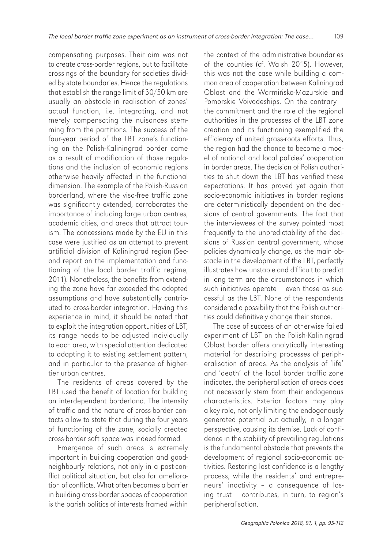compensating purposes. Their aim was not to create cross-border regions, but to facilitate crossings of the boundary for societies divided by state boundaries. Hence the regulations that establish the range limit of 30/50 km are usually an obstacle in realisation of zones' actual function, i.e. integrating, and not merely compensating the nuisances stemming from the partitions. The success of the four-year period of the LBT zone's functioning on the Polish-Kaliningrad border came as a result of modification of those regulations and the inclusion of economic regions otherwise heavily affected in the functional dimension. The example of the Polish-Russian borderland, where the visa-free traffic zone was significantly extended, corroborates the importance of including large urban centres, academic cities, and areas that attract tourism. The concessions made by the EU in this case were justified as an attempt to prevent artificial division of Kaliningrad region (Second report on the implementation and functioning of the local border traffic regime, 2011). Nonetheless, the benefits from extending the zone have far exceeded the adopted assumptions and have substantially contributed to cross-border integration. Having this experience in mind, it should be noted that to exploit the integration opportunities of LBT, its range needs to be adjusted individually to each area, with special attention dedicated to adapting it to existing settlement pattern, and in particular to the presence of highertier urban centres.

The residents of areas covered by the LBT used the benefit of location for building an interdependent borderland. The intensity of traffic and the nature of cross-border contacts allow to state that during the four years of functioning of the zone, socially created cross-border soft space was indeed formed.

Emergence of such areas is extremely important in building cooperation and goodneighbourly relations, not only in a post-conflict political situation, but also for amelioration of conflicts. What often becomes a barrier in building cross-border spaces of cooperation is the parish politics of interests framed within

the context of the administrative boundaries of the counties (cf. Walsh 2015). However, this was not the case while building a common area of cooperation between Kaliningrad Oblast and the Warmińsko-Mazurskie and Pomorskie Voivodeships. On the contrary – the commitment and the role of the regional authorities in the processes of the LBT zone creation and its functioning exemplified the efficiency of united grass-roots efforts. Thus, the region had the chance to become a model of national and local policies' cooperation in border areas. The decision of Polish authorities to shut down the LBT has verified these expectations. It has proved yet again that socio-economic initiatives in border regions are deterministically dependent on the decisions of central governments. The fact that the interviewees of the survey pointed most frequently to the unpredictability of the decisions of Russian central government, whose policies dynamically change, as the main obstacle in the development of the LBT, perfectly illustrates how unstable and difficult to predict in long term are the circumstances in which such initiatives operate – even those as successful as the LBT. None of the respondents considered a possibility that the Polish authorities could definitively change their stance.

The case of success of an otherwise failed experiment of LBT on the Polish-Kaliningrad Oblast border offers analytically interesting material for describing processes of peripheralisation of areas. As the analysis of 'life' and 'death' of the local border traffic zone indicates, the peripheralisation of areas does not necessarily stem from their endogenous characteristics. Exterior factors may play a key role, not only limiting the endogenously generated potential but actually, in a longer perspective, causing its demise. Lack of confidence in the stability of prevailing regulations is the fundamental obstacle that prevents the development of regional socio-economic activities. Restoring lost confidence is a lengthy process, while the residents' and entrepreneurs' inactivity – a consequence of losing trust – contributes, in turn, to region's peripheralisation.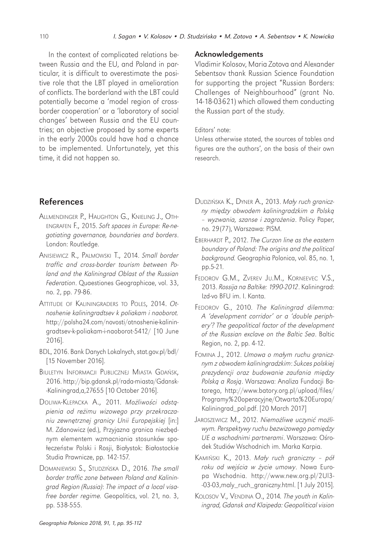In the context of complicated relations between Russia and the EU, and Poland in particular, it is difficult to overestimate the positive role that the LBT played in amelioration of conflicts. The borderland with the LBT could potentially become a 'model region of crossborder cooperation' or a 'laboratory of social changes' between Russia and the EU countries; an objective proposed by some experts in the early 2000s could have had a chance to be implemented. Unfortunately, yet this time, it did not happen so.

#### References

- ALLMENDINGER P., HAUGHTON G., KNIELING J., OTH-ENGRAFEN F., 2015. *Soft spaces in Europe: Re-negotiating governance, boundaries and borders*. London: Routledge.
- ANISIEWICZ R., PALMOWSKI T., 2014. *Small border traffic and cross-border tourism between Poland and the Kaliningrad Oblast of the Russian Federation*. Quaestiones Geographicae, vol. 33, no. 2, pp. 79-86.
- ATTITUDE OF KALININGRADERS TO POLES, 2014. *Otnoshenie kaliningradtsev k poliakam i naoborot.* http://polsha24.com/novosti/otnoshenie-kaliningradtsev-k-poliakam-i-naoborot-5412/ [10 June 2016].
- BDL, 2016. Bank Danych Lokalnych, stat.gov.pl/bdl/ [15 November 2016].
- BIULETYN INFORMACJI PUBLICZNEJ MIASTA GDAŃSK, 2016. http://bip.gdansk.pl/rada-miasta/Gdansk- -Kaliningrad,a,27655 [10 October 2016].
- DOLIWA-KLEPACKA A., 2011. *Mo*ż*liwo*ś*ci odst*ą*pienia od re*ż*imu wizowego przy przekraczaniu zewn*ę*trznej granicy Unii Europejskiej* [in:] M. Zdanowicz (ed.), Przyjazna granica niezbędnym elementem wzmacniania stosunków społeczeństw Polski i Rosji, Białystok: Białostockie Studia Prawnicze, pp. 142-157.
- DOMANIEWSKI S., STUDZIŃSKA D., 2016. *The small border traffic zone between Poland and Kaliningrad Region (Russia)*: *The impact of a local visafree border regime.* Geopolitics, vol. 21, no. 3, pp. 538-555.

#### Acknowledgements

Vladimir Kolosov, Maria Zotova and Alexander Sebentsov thank Russian Science Foundation for supporting the project "Russian Borders: Challenges of Neighbourhood" (grant No. 14-18-03621) which allowed them conducting the Russian part of the study.

#### Editors' note:

Unless otherwise stated, the sources of tables and figures are the authors', on the basis of their own research.

- DUDZIŃSKA K., DYNER A., 2013. *Ma*ł*y ruch graniczny mi*ę*dzy obwodem kaliningradzkim a Polsk*ą *– wyzwania, szanse i zagro*ż*enia*. Policy Paper, no. 29 (77), Warszawa: PISM.
- EBERHARDT P., 2012. *The Curzon line as the eastern boundary of Poland: The origins and the political background.* Geographia Polonica, vol. 85, no. 1, pp.5-21.
- FEDOROV G.M., ZVEREV JU.M., KORNEEVEC V.S., 2013. *Rossija na Baltike: 1990-2012*. Kaliningrad: Izd-vo BFU im. I. Kanta.
- FEDOROV G., 2010. *The Kaliningrad dilemma: A 'development corridor' or a 'double periphery'? The geopolitical factor of the development of the Russian exclave on the Baltic Sea*. Baltic Region, no. 2, pp. 4-12.
- FOMINA J., 2012. *Umowa o ma*ł*ym ruchu granicznym z obwodem kaliningradzkim*: *Sukces polskiej prezydencji oraz budowanie zaufania mi*ę*dzy Polsk*ą *a Rosj*ą. Warszawa: Analiza Fundacji Batorego, http://www.batory.org.pl/upload/files/ Programy%20operacyjne/Otwarta%20Europa/ Kaliningrad\_pol.pdf. [20 March 2017]
- JAROSZEWICZ M., 2012. *Niemo*ż*liwe uczyni*ć *mo*ż*liwym. Perspektywy ruchu bezwizowego pomi*ę*dzy UE a wschodnimi partnerami*. Warszawa: Ośrodek Studiów Wschodnich im. Marka Karpia.
- KAMIŃSKI K., 2013. *Ma*ł*y ruch graniczny pó*ł *roku od wej*ś*cia w* ż*ycie umowy*. Nowa Europa Wschodnia. http://www.new.org.pl/2Ul3- -03-03,maly\_ruch\_graniczny.html. [1 July 2015].
- KOLOSOV V., VENDINA O., 2014*. The youth in Kaliningrad, Gdansk and Klaipeda: Geopolitical vision*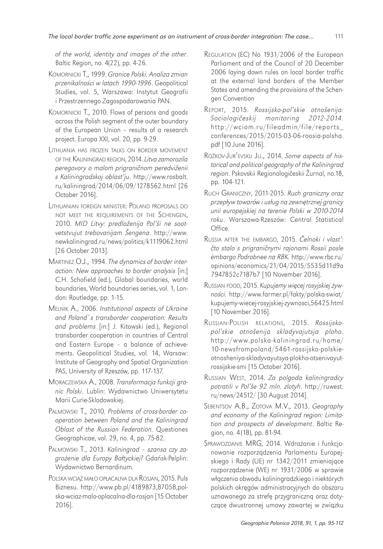*of the world, identity and images of the other*. Baltic Region, no. 4(22), pp. 4-26.

- KOMORNICKI T., 1999. *Granice Polski. Analiza zmian przenikalno*ś*ci w latach 1990-1996*. Geopolitical Studies, vol. 5, Warszawa: Instytut Geografii i Przestrzennego Zagospodarowania PAN.
- KOMORNICKI T., 2010. Flows of persons and goods across the Polish segment of the outer boundary of the European Union – results of a research project. Europa XXI, vol. 20, pp. 9-29.
- LITHUANIA HAS FROZEN TALKS ON BORDER MOVEMENT OF THE KALININGRAD REGION, 2014. *Litva zamorozila peregovory o malom prigrani*č*nom peredviženii s Kaliningradskoj oblast'ju*. http://www.rosbalt. ru/kaliningrad/2014/06/09/1278562.html [26 October 2016].
- LITHUANIAN FOREIGN MINISTER: POLAND PROPOSALS DO NOT MEET THE REQUIREMENTS OF THE SCHENGEN, 2010. *MID Litvy: predloženija Pol'ši ne sootvetstvujut trebovanijam Šengena*. http://www. newkaliningrad.ru/news/politics/k1119062.html [26 October 2013].
- MARTINEZ O.J., 1994. *The dynamics of border interaction: New approaches to border analysis* [in:] C.H. Schofield (ed.), Global boundaries, world boundaries, World boundaries series, vol. 1, London: Routledge, pp. 1-15.
- MELNIK A., 2006. *Institutional aspects of Ukraine and Poland`s transborder cooperation: Results and problems* [in:] J. Kitowski (ed.), Regional transborder cooperation in countries of Central and Eastern Europe – a balance of achievements. Geopolitical Studies, vol. 14, Warsaw: Institute of Geography and Spatial Organization PAS, University of Rzeszów, pp. 117-137.
- MORACZEWSKA A., 2008. *Transformacja funkcji granic Polski*. Lublin: Wydawnictwo Uniwersytetu Marii Curie-Sklodowskiej.
- PALMOWSKI T., 2010. *Problems of cross-border cooperation between Poland and the Kaliningrad Oblast of the Russian Federation.* Questiones Geographicae, vol. 29, no. 4, pp. 75-82.
- PALMOWSKI T., 2013. *Kaliningrad szansa czy zagro*ż*enie dla Europy Ba*ł*tyckiej?* Gdańsk-Pelplin: Wydawnictwo Bernardinum.
- POLSKA WCIĄŻ MAŁO OPŁACALNA DLA ROSJAN, 2015. Puls Biznesu. http://www.pb.pl/4189873,87058,polska-wciaz-malo-oplacalna-dla-rosjan [15 October 2016].
- REGULATION (EC) No 1931/2006 of the European Parliament and of the Council of 20 December 2006 laying down rules on local border traffic at the external land borders of the Member States and amending the provisions of the Schengen Convention
- REPORT, 2015. *Rossijsko-pol'skie otnošenija: Sociologi*č*eskij monitoring 2012-2014*. http://wciom.ru/fileadmin/file/reports\_ conferences/2015/2015-03-06-roosia-polsha. pdf [10 June 2016].
- ROŽKOV-JUR'EVSKIJ JU., 2014. *Some aspects of historical and political geography of the Kaliningrad region*. Pskovskii Regionologičeskii Žurnal, no.18, pp. 104-121.
- RUCH GRANICZNY, 2011-2015. *Ruch graniczny oraz przep*ł*yw towarów i us*ł*ug na zewn*ę*trznej granicy unii europejskiej na terenie Polski w 2010-2014 roku*. Warszawa-Rzeszów: Central Statistical Office.
- RUSSIA AFTER THE EMBARGO, 2015. Č*elnoki i vlast':*  č*to stalo s prigrani*č*nymi rajonami Rossii posle èmbargo Podrobnee na RBK.* http://www.rbc.ru/ opinions/economics/21/04/2015/5535d11d9a 7947852c7187b7 [10 November 2016].
- RUSSIAN FOOD, 2015. *Kupujemy wi*ę*cej rosyjskiej* ż*ywno*ś*ci.* http://www.farmer.pl/fakty/polska-swiat/ kupujemy-wiecej-rosyjskiej-zywnosci,56425.html [10 November 2016].
- RUSSIAN-POLISH RELATIONS, 2015. *Rossijskopol'skie otnošenija skladyvajutsja ploho.* http://www.polska-kaliningrad.ru/home/ 10-newsfrompoland/5461-rossijsko-polskieotnosheniya-skladyvayutsya-plokho-otsenivayutrossijskie-smi [15 October 2016].
- RUSSIAN WEST, 2014. *Za polgoda kaliningradcy potratili v Pol'še 92 mln. zlotyh*. http://ruwest. ru/news/24512/ [30 August 2014].
- SEBENTSOV A.B., ZOTOVA M.V., 2013. *Geography and economy of the Kaliningrad region: Limitation and prospects of development*. Baltic Region, no. 4 (18), pp. 81-94.
- SPRAWOZDANIE MRG, 2014. Wdrażanie i funkcjonowanie rozporządzenia Parlamentu Europejskiego i Rady (UE) nr 1342/2011 zmieniające rozporządzenie (WE) nr 1931/2006 w sprawie włączenia obwodu kaliningradzkiego i niektórych polskich okręgów administracyjnych do obszaru uznawanego za strefę przygraniczną oraz dotyczące dwustronnej umowy zawartej w związku